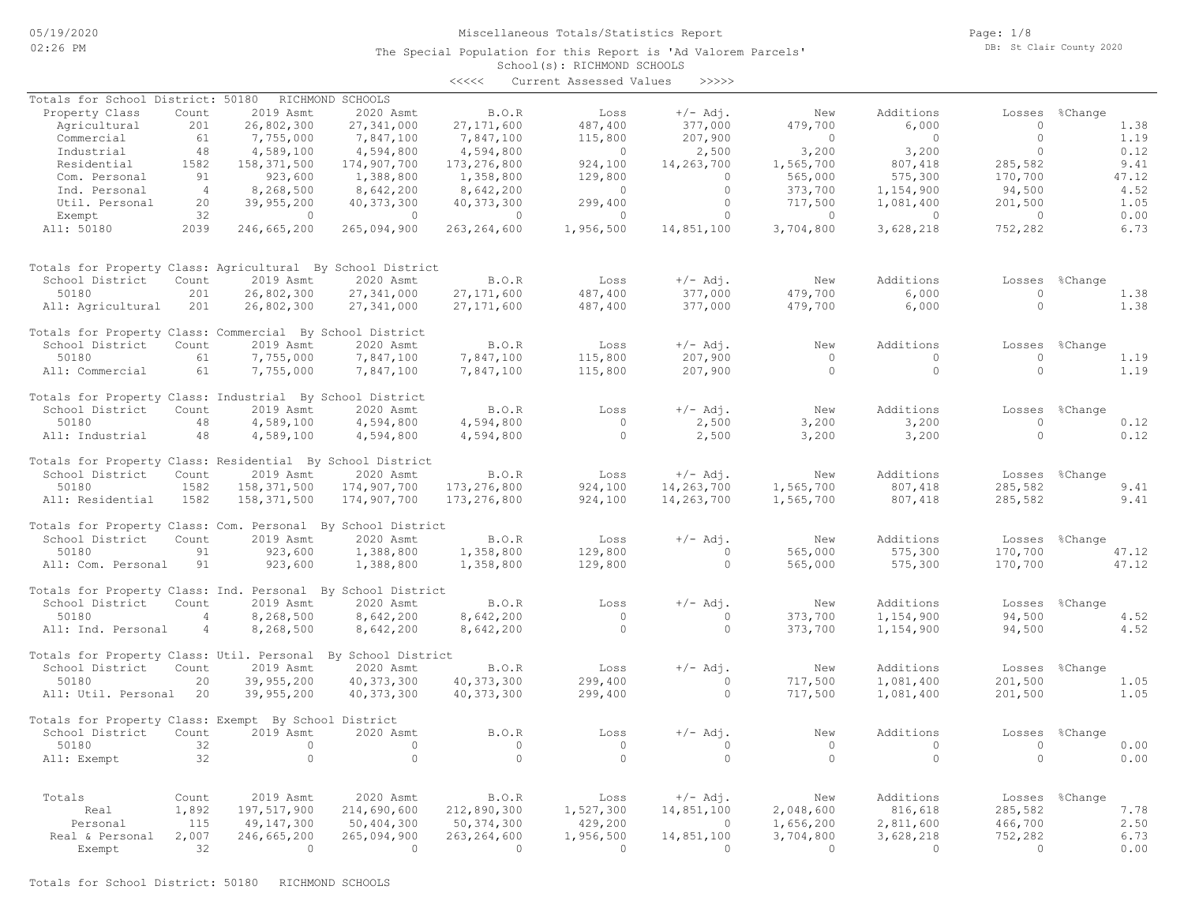#### Miscellaneous Totals/Statistics Report

The Special Population for this Report is 'Ad Valorem Parcels'

Page: 1/8 DB: St Clair County 2020

# School(s): RICHMOND SCHOOLS <<<<< Current Assessed Values >>>>> Real & Personal 2,007 246,665,200 265,094,900 263,264,600 1,956,500 14,851,100 3,704,800 3,628,218 752,282 6.73 Personal 115 49,147,300 50,404,300 50,374,300 429,200 0 1,656,200 2,811,600 466,700 2.50 Real 1,892 197,517,900 214,690,600 212,890,300 1,527,300 14,851,100 2,048,600 816,618 285,582 7.78 Totals Count 2019 Asmt 2020 Asmt B.O.R Loss +/- Adj. New Additions Losses %Change All: Exempt 32 0 0 0 0 0 0 0 0 0.00 50180 32 0 0 0 0 0 0 0 0 0.00 School District Count 2019 Asmt 2020 Asmt B.O.R Loss +/-Adj. New Additions Losses %Change Totals for Property Class: Exempt By School District All: Util. Personal 20 39,955,200 40,373,300 40,373,300 299,400 0 717,500 1,081,400 201,500 1.05 50180 20 39,955,200 40,373,300 40,373,300 299,400 0 717,500 1,081,400 201,500 1.05 School District Count 2019 Asmt 2020 Asmt B.O.R Loss +/-Adj. New Additions Losses %Change Totals for Property Class: Util. Personal By School District All: Ind. Personal 4 8,268,500 8,642,200 8,642,200 0 0 373,700 1,154,900 94,500 4.52 50180 4 8,268,500 8,642,200 8,642,200 0 0 373,700 1,154,900 94,500 4.52 School District Count 2019 Asmt 2020 Asmt B.O.R Loss +/-Adj. New Additions Losses %Change Totals for Property Class: Ind. Personal By School District All: Com. Personal 91 923,600 1,388,800 1,358,800 129,800 0 565,000 575,300 170,700 47.12 50180 91 923,600 1,388,800 1,358,800 129,800 0 565,000 575,300 170,700 47.12 School District Count 2019 Asmt 2020 Asmt B.O.R Loss +/- Adj. New Additions Losses %Change Totals for Property Class: Com. Personal By School District All: Residential 1582 158,371,500 174,907,700 173,276,800 924,100 14,263,700 1,565,700 807,418 285,582 9.41 50180 1582 158,371,500 174,907,700 173,276,800 924,100 14,263,700 1,565,700 807,418 285,582 9.41 School District Count 2019 Asmt 2020 Asmt B.O.R Loss +/- Adj. New Additions Losses %Change Totals for Property Class: Residential By School District All: Industrial 48 4,589,100 4,594,800 4,594,800 0 2,500 3,200 3,200 0 0.12 50180 48 4,589,100 4,594,800 4,594,800 0 2,500 3,200 3,200 0 0.12 School District Count 2019 Asmt 2020 Asmt B.O.R Loss +/-Adj. New Additions Losses %Change Totals for Property Class: Industrial By School District All: Commercial 61 7,755,000 7,847,100 7,847,100 115,800 207,900 0 0 0 0 1.19 50180 61 7,755,000 7,847,100 7,847,100 115,800 207,900 0 0 0 1.19 School District Count 2019 Asmt 2020 Asmt B.O.R Loss +/-Adj. New Additions Losses %Change Totals for Property Class: Commercial By School District All: Agricultural 201 26,802,300 27,341,000 27,171,600 487,400 377,000 479,700 6,000 0 1.38 50180 201 26,802,300 27,341,000 27,171,600 487,400 377,000 479,700 6,000 0 1.38 School District Count 2019 Asmt 2020 Asmt B.O.R Loss +/-Adj. New Additions Losses %Change Totals for Property Class: Agricultural By School District All: 50180 2039 246,665,200 265,094,900 263,264,600 1,956,500 14,851,100 3,704,800 3,628,218 752,282 6.73 Exempt 32 0 0 0 0 0 0 0 0 0.00 Util. Personal 20 39,955,200 40,373,300 40,373,300 299,400 0 717,500 1,081,400 201,500 1.05 Ind. Personal 4 8,268,500 8,642,200 8,642,200 0 0 373,700 1,154,900 94,500 4.52 Com. Personal 91 923,600 1,388,800 1,358,800 129,800 0 565,000 575,300 170,700 47.12 Residential 1582 158,371,500 174,907,700 173,276,800 924,100 14,263,700 1,565,700 807,418 285,582 9.41 Industrial 48 4,589,100 4,594,800 4,594,800 0 2,500 3,200 3,200 0 0.12 Commercial 61 7,755,000 7,847,100 7,847,100 115,800 207,900 0 0 0 1.19 Agricultural 201 26,802,300 27,341,000 27,171,600 487,400 377,000 479,700 6,000 0 1.38 Property Class Count 2019 Asmt 2020 Asmt B.O.R Loss +/-Adj. New Additions Losses %Change Totals for School District: 50180 RICHMOND SCHOOLS

Exempt 32 0 0 0 0 0 0 0 0 0 0 0 0 0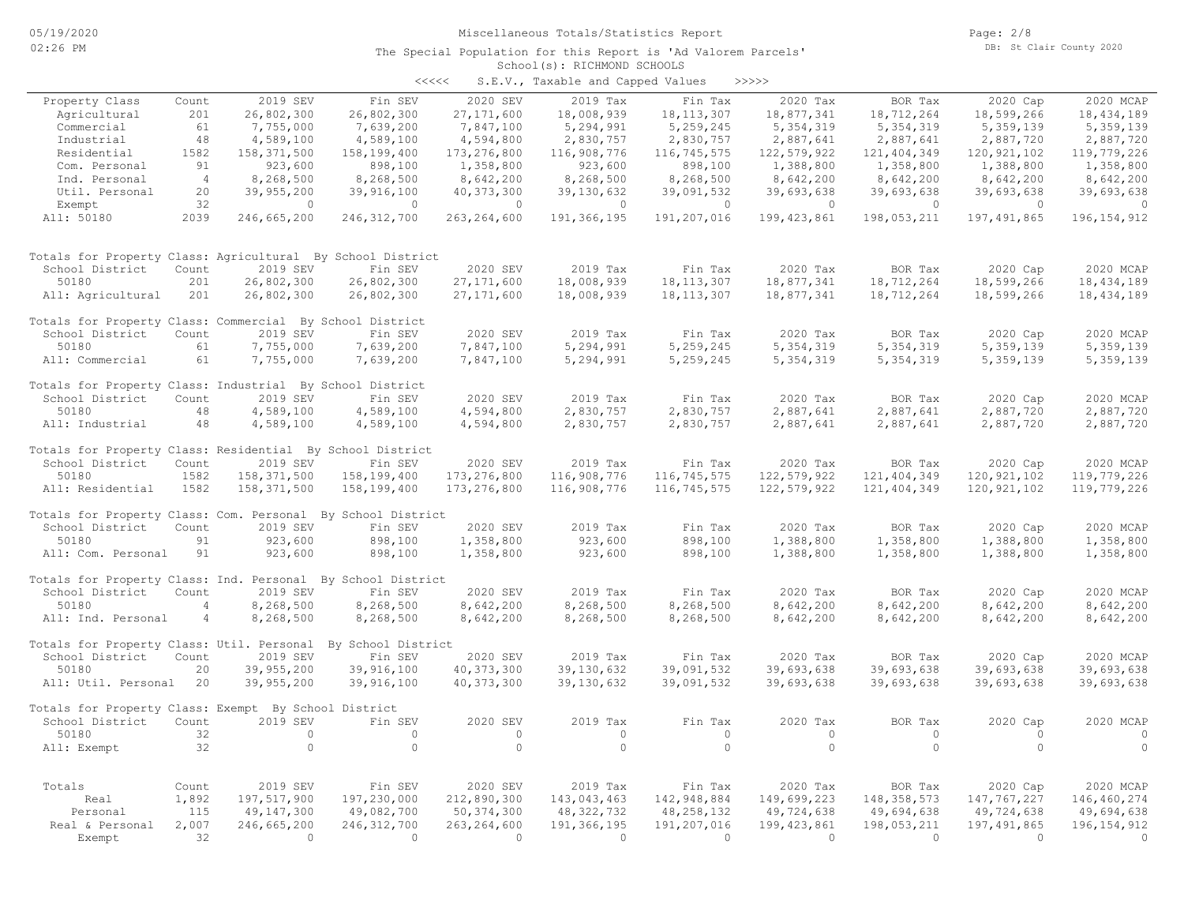| くくくくく | S.E.V., Taxable and Capped Values |  |  |  | >>>>> |
|-------|-----------------------------------|--|--|--|-------|
|-------|-----------------------------------|--|--|--|-------|

|                                                              |                |               |               |                | $5.2.77$ candidate and capped $0.220$ |              |               |                |                |                |
|--------------------------------------------------------------|----------------|---------------|---------------|----------------|---------------------------------------|--------------|---------------|----------------|----------------|----------------|
| Property Class                                               | Count          | 2019 SEV      | Fin SEV       | 2020 SEV       | 2019 Tax                              | Fin Tax      | 2020 Tax      | BOR Tax        | 2020 Cap       | 2020 MCAP      |
| Agricultural                                                 | 201            | 26,802,300    | 26,802,300    | 27, 171, 600   | 18,008,939                            | 18, 113, 307 | 18,877,341    | 18,712,264     | 18,599,266     | 18, 434, 189   |
| Commercial                                                   | 61             | 7,755,000     | 7,639,200     | 7,847,100      | 5,294,991                             | 5, 259, 245  | 5, 354, 319   | 5, 354, 319    | 5,359,139      | 5,359,139      |
| Industrial                                                   | 48             | 4,589,100     | 4,589,100     | 4,594,800      | 2,830,757                             | 2,830,757    | 2,887,641     | 2,887,641      | 2,887,720      | 2,887,720      |
| Residential                                                  | 1582           | 158, 371, 500 | 158,199,400   | 173, 276, 800  | 116,908,776                           | 116,745,575  | 122,579,922   | 121, 404, 349  | 120, 921, 102  | 119,779,226    |
| Com. Personal                                                | 91             | 923,600       | 898,100       | 1,358,800      | 923,600                               | 898,100      | 1,388,800     | 1,358,800      | 1,388,800      | 1,358,800      |
| Ind. Personal                                                | $\overline{4}$ | 8,268,500     | 8,268,500     | 8,642,200      | 8,268,500                             | 8,268,500    | 8,642,200     | 8,642,200      | 8,642,200      | 8,642,200      |
| Util. Personal                                               | 20             | 39,955,200    | 39,916,100    | 40, 373, 300   | 39,130,632                            | 39,091,532   | 39,693,638    | 39,693,638     | 39,693,638     | 39,693,638     |
| Exempt                                                       | 32             | $\circ$       | $\circ$       | $\circ$        | $\circ$                               | $\circ$      | $\circ$       | $\overline{0}$ | $\overline{0}$ | $\overline{0}$ |
| All: 50180                                                   | 2039           | 246,665,200   | 246, 312, 700 | 263, 264, 600  | 191,366,195                           | 191,207,016  | 199, 423, 861 | 198,053,211    | 197, 491, 865  | 196, 154, 912  |
| Totals for Property Class: Agricultural By School District   |                |               |               |                |                                       |              |               |                |                |                |
| School District                                              | Count          | 2019 SEV      | Fin SEV       | 2020 SEV       | 2019 Tax                              | Fin Tax      | 2020 Tax      | BOR Tax        | 2020 Cap       | 2020 MCAP      |
| 50180                                                        | 201            | 26,802,300    | 26,802,300    | 27, 171, 600   | 18,008,939                            | 18, 113, 307 | 18,877,341    | 18,712,264     | 18,599,266     | 18, 434, 189   |
| All: Agricultural                                            | 201            | 26,802,300    | 26,802,300    | 27, 171, 600   | 18,008,939                            | 18, 113, 307 | 18,877,341    | 18,712,264     | 18,599,266     | 18, 434, 189   |
|                                                              |                |               |               |                |                                       |              |               |                |                |                |
| Totals for Property Class: Commercial By School District     |                |               |               |                |                                       |              |               |                |                |                |
| School District                                              | Count          | 2019 SEV      | Fin SEV       | 2020 SEV       | 2019 Tax                              | Fin Tax      | 2020 Tax      | BOR Tax        | 2020 Cap       | 2020 MCAP      |
| 50180                                                        | 61             | 7,755,000     | 7,639,200     | 7,847,100      | 5,294,991                             | 5,259,245    | 5, 354, 319   | 5, 354, 319    | 5,359,139      | 5,359,139      |
| All: Commercial                                              | 61             | 7,755,000     | 7,639,200     | 7,847,100      | 5,294,991                             | 5,259,245    | 5,354,319     | 5,354,319      | 5,359,139      | 5,359,139      |
|                                                              |                |               |               |                |                                       |              |               |                |                |                |
| Totals for Property Class: Industrial By School District     |                |               |               |                |                                       |              |               |                |                |                |
| School District                                              | Count          | 2019 SEV      | Fin SEV       | 2020 SEV       | 2019 Tax                              | Fin Tax      | 2020 Tax      | BOR Tax        | 2020 Cap       | 2020 MCAP      |
| 50180                                                        | 48             | 4,589,100     | 4,589,100     | 4,594,800      | 2,830,757                             | 2,830,757    | 2,887,641     | 2,887,641      | 2,887,720      | 2,887,720      |
| All: Industrial                                              | 48             | 4,589,100     | 4,589,100     | 4,594,800      | 2,830,757                             | 2,830,757    | 2,887,641     | 2,887,641      | 2,887,720      | 2,887,720      |
|                                                              |                |               |               |                |                                       |              |               |                |                |                |
| Totals for Property Class: Residential By School District    |                |               |               |                |                                       |              |               |                |                |                |
| School District                                              | Count          | 2019 SEV      | Fin SEV       | 2020 SEV       | 2019 Tax                              | Fin Tax      | 2020 Tax      | BOR Tax        | 2020 Cap       | 2020 MCAP      |
| 50180                                                        | 1582           | 158, 371, 500 | 158,199,400   | 173,276,800    | 116,908,776                           | 116,745,575  | 122,579,922   | 121,404,349    | 120, 921, 102  | 119,779,226    |
| All: Residential                                             | 1582           | 158,371,500   | 158,199,400   | 173, 276, 800  | 116,908,776                           | 116,745,575  | 122,579,922   | 121,404,349    | 120, 921, 102  | 119,779,226    |
| Totals for Property Class: Com. Personal By School District  |                |               |               |                |                                       |              |               |                |                |                |
| School District                                              | Count          | 2019 SEV      | Fin SEV       | 2020 SEV       | 2019 Tax                              | Fin Tax      | 2020 Tax      | BOR Tax        | 2020 Cap       | 2020 MCAP      |
| 50180                                                        | 91             | 923,600       | 898,100       | 1,358,800      | 923,600                               | 898,100      | 1,388,800     | 1,358,800      | 1,388,800      | 1,358,800      |
| All: Com. Personal                                           | 91             | 923,600       | 898,100       | 1,358,800      | 923,600                               | 898,100      | 1,388,800     | 1,358,800      | 1,388,800      | 1,358,800      |
|                                                              |                |               |               |                |                                       |              |               |                |                |                |
| Totals for Property Class: Ind. Personal By School District  |                |               |               |                |                                       |              |               |                |                |                |
| School District                                              | Count          | 2019 SEV      | Fin SEV       | 2020 SEV       | 2019 Tax                              | Fin Tax      | 2020 Tax      | BOR Tax        | 2020 Cap       | 2020 MCAP      |
| 50180                                                        | $\overline{4}$ | 8,268,500     | 8,268,500     | 8,642,200      | 8,268,500                             | 8,268,500    | 8,642,200     | 8,642,200      | 8,642,200      | 8,642,200      |
| All: Ind. Personal                                           | 4              | 8,268,500     | 8,268,500     | 8,642,200      | 8,268,500                             | 8,268,500    | 8,642,200     | 8,642,200      | 8,642,200      | 8,642,200      |
|                                                              |                |               |               |                |                                       |              |               |                |                |                |
| Totals for Property Class: Util. Personal By School District |                |               |               |                |                                       |              |               |                |                |                |
| School District                                              | Count          | 2019 SEV      | Fin SEV       | 2020 SEV       | 2019 Tax                              | Fin Tax      | 2020 Tax      | BOR Tax        | 2020 Cap       | 2020 MCAP      |
| 50180                                                        | 20             | 39,955,200    | 39,916,100    | 40, 373, 300   | 39,130,632                            | 39,091,532   | 39,693,638    | 39,693,638     | 39,693,638     | 39,693,638     |
| All: Util. Personal                                          | 20             | 39,955,200    | 39,916,100    | 40,373,300     | 39,130,632                            | 39,091,532   | 39,693,638    | 39,693,638     | 39,693,638     | 39,693,638     |
|                                                              |                |               |               |                |                                       |              |               |                |                |                |
| Totals for Property Class: Exempt By School District         |                |               |               |                |                                       |              |               |                |                |                |
| School District                                              | Count          | 2019 SEV      | Fin SEV       | 2020 SEV       | 2019 Tax                              | Fin Tax      | 2020 Tax      | BOR Tax        | 2020 Cap       | 2020 MCAP      |
| 50180                                                        | 32             | $\circ$       | $\circ$       | $\circ$        | $\circ$                               | $\circ$      | $\circ$       | $\circ$        | $\circ$        | $\overline{0}$ |
| All: Exempt                                                  | 32             | $\circ$       | $\circ$       | $\circ$        | $\circ$                               | $\circ$      | $\circ$       | $\circ$        | $\circ$        | $\Omega$       |
|                                                              |                |               |               |                |                                       |              |               |                |                |                |
|                                                              |                |               |               |                |                                       |              |               |                |                |                |
| Totals                                                       | Count          | 2019 SEV      | Fin SEV       | 2020 SEV       | 2019 Tax                              | Fin Tax      | 2020 Tax      | BOR Tax        | 2020 Cap       | 2020 MCAP      |
| Real                                                         | 1,892          | 197,517,900   | 197,230,000   | 212,890,300    | 143,043,463                           | 142,948,884  | 149,699,223   | 148, 358, 573  | 147, 767, 227  | 146,460,274    |
| Personal                                                     | 115            | 49, 147, 300  | 49,082,700    | 50, 374, 300   | 48, 322, 732                          | 48, 258, 132 | 49,724,638    | 49,694,638     | 49,724,638     | 49,694,638     |
| Real & Personal                                              | 2,007          | 246,665,200   | 246, 312, 700 | 263, 264, 600  | 191,366,195                           | 191,207,016  | 199, 423, 861 | 198,053,211    | 197,491,865    | 196, 154, 912  |
| Exempt                                                       | 32             | $\Omega$      | $\bigcirc$    | $\overline{0}$ | $\bigcirc$                            | $\Omega$     | $\Omega$      | $\bigcirc$     | $\bigcirc$     | $\bigcirc$     |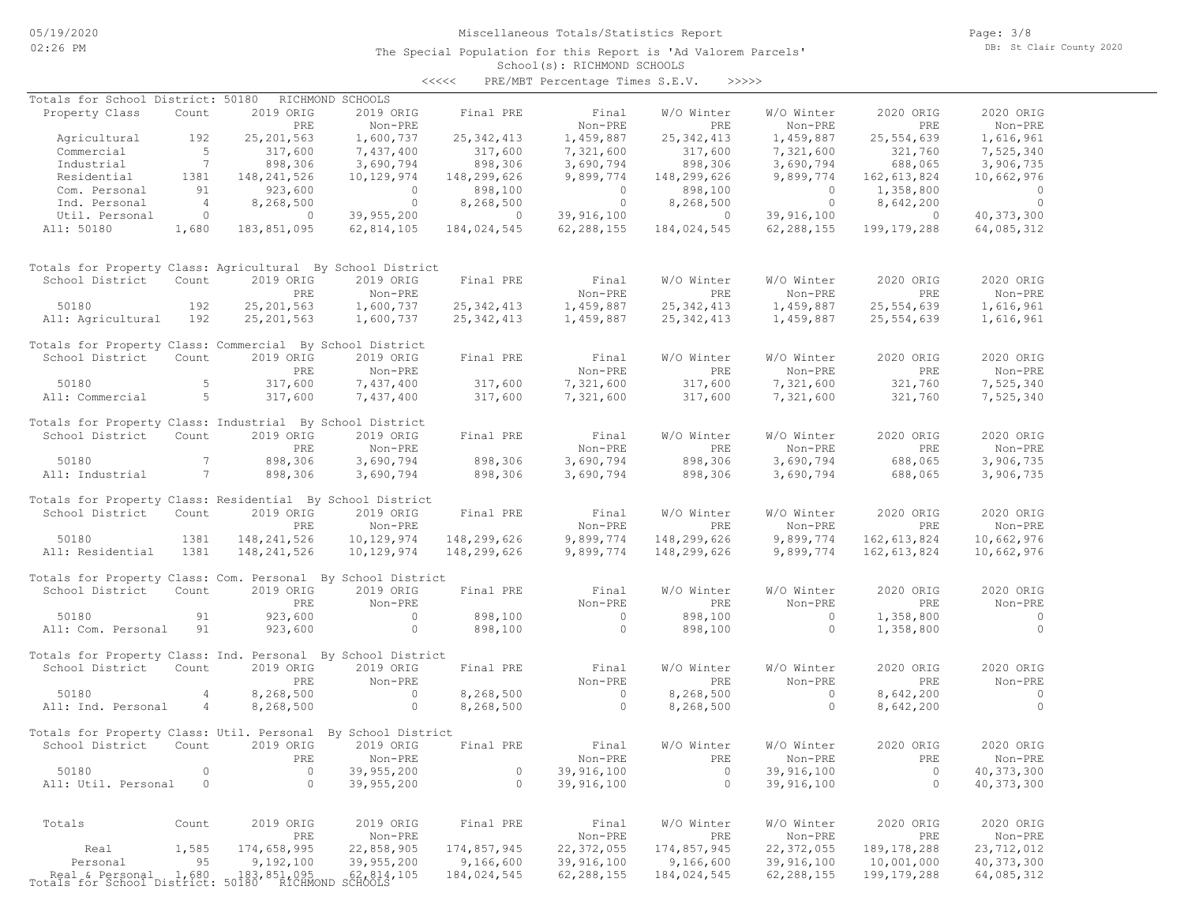# Miscellaneous Totals/Statistics Report

The Special Population for this Report is 'Ad Valorem Parcels'

Page: 3/8 DB: St Clair County 2020

## School(s): RICHMOND SCHOOLS <<<<< PRE/MBT Percentage Times S.E.V. >>>>>

| Totals for School District: 50180                                           |                 |                | RICHMOND SCHOOLS                                 |                          |                          |                          |                          |                             |                            |
|-----------------------------------------------------------------------------|-----------------|----------------|--------------------------------------------------|--------------------------|--------------------------|--------------------------|--------------------------|-----------------------------|----------------------------|
| Property Class                                                              | Count           | 2019 ORIG      | 2019 ORIG                                        | Final PRE                | Final                    | W/O Winter               | W/O Winter               | 2020 ORIG                   | 2020 ORIG                  |
|                                                                             |                 | PRE            | Non-PRE                                          |                          | Non-PRE                  | PRE                      | Non-PRE                  | PRE                         | Non-PRE                    |
| Agricultural                                                                | 192             | 25, 201, 563   | 1,600,737                                        | 25, 342, 413             | 1,459,887                | 25, 342, 413             | 1,459,887                | 25,554,639                  | 1,616,961                  |
| Commercial                                                                  | $5^{\circ}$     | 317,600        | 7,437,400                                        | 317,600                  | 7,321,600                | 317,600                  | 7,321,600                | 321,760                     | 7,525,340                  |
| Industrial                                                                  | $\overline{7}$  | 898,306        | 3,690,794                                        | 898,306                  | 3,690,794                | 898,306                  | 3,690,794                | 688,065                     | 3,906,735                  |
| Residential                                                                 | 1381            | 148,241,526    | 10,129,974                                       | 148,299,626              | 9,899,774                | 148,299,626              | 9,899,774                | 162,613,824                 | 10,662,976                 |
| Com. Personal                                                               | 91              | 923,600        | $\overline{0}$                                   | 898,100                  | $\overline{0}$           | 898,100                  | $\circ$                  | 1,358,800                   | $\overline{0}$             |
| Ind. Personal                                                               | $\overline{4}$  | 8,268,500      | $\overline{0}$                                   | 8,268,500                | $\overline{0}$           | 8,268,500                | $\overline{0}$           | 8,642,200                   | $\overline{0}$             |
| Util. Personal                                                              | $\overline{0}$  | $\overline{0}$ | 39,955,200                                       | $\sim$ 0 $\sim$ 0 $\sim$ | 39,916,100               | $\sim$ 0                 | 39,916,100               | $\overline{0}$              | 40, 373, 300               |
| All: 50180                                                                  | 1,680           | 183,851,095    | 62,814,105                                       | 184,024,545              | 62,288,155               | 184,024,545              | 62,288,155               | 199,179,288                 | 64,085,312                 |
|                                                                             |                 |                |                                                  |                          |                          |                          |                          |                             |                            |
| Totals for Property Class: Agricultural By School District                  |                 |                |                                                  |                          |                          |                          |                          |                             |                            |
| School District                                                             | Count           | 2019 ORIG      | 2019 ORIG                                        | Final PRE                | Final                    | W/O Winter               | W/O Winter               | 2020 ORIG                   | 2020 ORIG                  |
|                                                                             |                 | PRE            | Non-PRE                                          |                          | Non-PRE                  | PRE                      | Non-PRE                  | PRE                         | Non-PRE                    |
| 50180                                                                       | 192             | 25, 201, 563   | 1,600,737                                        | 25, 342, 413             | 1,459,887                | 25, 342, 413             | 1,459,887                | 25,554,639                  | 1,616,961                  |
| All: Agricultural                                                           | 192             | 25, 201, 563   | 1,600,737                                        | 25, 342, 413             | 1,459,887                | 25, 342, 413             | 1,459,887                | 25,554,639                  | 1,616,961                  |
|                                                                             |                 |                |                                                  |                          |                          |                          |                          |                             |                            |
| Totals for Property Class: Commercial By School District<br>School District | Count           | 2019 ORIG      | 2019 ORIG                                        | Final PRE                | Final                    | W/O Winter               | W/O Winter               | 2020 ORIG                   | 2020 ORIG                  |
|                                                                             |                 | PRE            |                                                  |                          | Non-PRE                  | PRE                      | Non-PRE                  | PRE                         |                            |
| 50180                                                                       | 5               | 317,600        | Non-PRE                                          | 317,600                  | 7,321,600                | 317,600                  | 7,321,600                | 321,760                     | Non-PRE                    |
| All: Commercial                                                             | $5 - 5$         |                | 7,437,400                                        |                          | 7,321,600                | 317,600                  |                          |                             | 7,525,340<br>7,525,340     |
|                                                                             |                 | 317,600        | 7,437,400                                        | 317,600                  |                          |                          | 7,321,600                | 321,760                     |                            |
| Totals for Property Class: Industrial By School District                    |                 |                |                                                  |                          |                          |                          |                          |                             |                            |
| School District                                                             | Count           | 2019 ORIG      | 2019 ORIG                                        | Final PRE                | Final                    | W/O Winter               | W/O Winter               | 2020 ORIG                   | 2020 ORIG                  |
|                                                                             |                 | PRE            | Non-PRE                                          |                          | Non-PRE                  | PRE                      | Non-PRE                  | PRE                         | Non-PRE                    |
| 50180                                                                       | $7\phantom{.0}$ | 898,306        | 3,690,794                                        | 898,306                  | 3,690,794                | 898,306                  | 3,690,794                | 688,065                     | 3,906,735                  |
| All: Industrial                                                             | $\overline{7}$  | 898,306        | 3,690,794                                        | 898,306                  | 3,690,794                | 898,306                  | 3,690,794                | 688,065                     | 3,906,735                  |
|                                                                             |                 |                |                                                  |                          |                          |                          |                          |                             |                            |
| Totals for Property Class: Residential By School District                   |                 |                |                                                  |                          |                          |                          |                          |                             |                            |
| School District                                                             | Count           | 2019 ORIG      | 2019 ORIG                                        | Final PRE                | Final                    | W/O Winter               | W/O Winter               | 2020 ORIG                   | 2020 ORIG                  |
|                                                                             |                 | PRE            | Non-PRE                                          |                          | Non-PRE                  | PRE                      | Non-PRE                  | <b>PRE</b>                  | Non-PRE                    |
| 50180                                                                       | 1381            | 148, 241, 526  | 10,129,974                                       | 148,299,626              | 9,899,774                | 148,299,626              | 9,899,774                | 162,613,824                 | 10,662,976                 |
| All: Residential                                                            | 1381            | 148,241,526    | 10,129,974                                       | 148,299,626              | 9,899,774                | 148,299,626              | 9,899,774                | 162,613,824                 | 10,662,976                 |
|                                                                             |                 |                |                                                  |                          |                          |                          |                          |                             |                            |
| Totals for Property Class: Com. Personal By School District                 |                 |                |                                                  |                          |                          |                          |                          |                             |                            |
| School District                                                             | Count           | 2019 ORIG      | 2019 ORIG                                        | Final PRE                | Final                    | W/O Winter               | W/O Winter               | 2020 ORIG                   | 2020 ORIG                  |
|                                                                             |                 | PRE            | Non-PRE                                          |                          | Non-PRE                  | PRE                      | Non-PRE                  | <b>PRE</b>                  | Non-PRE                    |
| 50180                                                                       | 91              | 923,600        | $\sim$ 0                                         | 898,100                  | $\sim$ 0                 | 898,100                  | $\sim$ 0                 | 1,358,800                   | $\sim$ 0                   |
| All: Com. Personal                                                          | 91              | 923,600        | $\circ$                                          | 898,100                  | $\circ$                  | 898,100                  | $\circ$                  | 1,358,800                   | $\circ$                    |
|                                                                             |                 |                |                                                  |                          |                          |                          |                          |                             |                            |
| Totals for Property Class: Ind. Personal By School District                 |                 |                |                                                  |                          |                          |                          |                          |                             |                            |
| School District                                                             | Count           | 2019 ORIG      | 2019 ORIG                                        | Final PRE                | Final                    | W/O Winter               | W/O Winter               | 2020 ORIG                   | 2020 ORIG                  |
|                                                                             |                 | PRE            | Non-PRE                                          |                          | Non-PRE                  | PRE                      | Non-PRE                  | PRE                         | Non-PRE                    |
| 50180                                                                       | $\overline{4}$  | 8,268,500      | $\sim$ 0                                         | 8,268,500                | $\overline{0}$           | 8,268,500                | $\circ$                  | 8,642,200                   | $\overline{0}$             |
| All: Ind. Personal                                                          | $\overline{4}$  | 8,268,500      | $\overline{0}$                                   | 8,268,500                | $\overline{0}$           | 8,268,500                | $\circ$                  | 8,642,200                   | $\overline{0}$             |
| Totals for Property Class: Util. Personal By School District                |                 |                |                                                  |                          |                          |                          |                          |                             |                            |
| School District                                                             | Count           | 2019 ORIG      | 2019 ORIG                                        | Final PRE                | Final                    | W/O Winter               | W/O Winter               | 2020 ORIG                   | 2020 ORIG                  |
|                                                                             |                 |                | PRE Non-PRE                                      |                          | Non-PRE                  | PRE                      | Non-PRE                  | ${\tt PRE}$                 | Non-PRE                    |
| 50180                                                                       | 0               | $\circ$        | 39,955,200                                       | $\circ$                  | 39,916,100               | $\circ$                  | 39,916,100               | $\circ$                     | 40, 373, 300               |
| All: Util. Personal                                                         | 0               | $\circ$        | 39,955,200                                       | $\circ$                  | 39,916,100               | $\circ$                  | 39,916,100               | $\circ$                     | 40, 373, 300               |
|                                                                             |                 |                |                                                  |                          |                          |                          |                          |                             |                            |
|                                                                             | Count           | 2019 ORIG      | 2019 ORIG                                        | Final PRE                | Final                    | W/O Winter               | W/O Winter               | 2020 ORIG                   | 2020 ORIG                  |
| Totals                                                                      |                 | PRE            | Non-PRE                                          |                          | Non-PRE                  | PRE                      | Non-PRE                  | PRE                         | Non-PRE                    |
| Real                                                                        |                 | 174,658,995    |                                                  | 174,857,945              |                          |                          | 22, 372, 055             |                             |                            |
| Personal                                                                    | 1,585<br>95     |                | 22,858,905                                       |                          | 22, 372, 055             | 174,857,945              |                          | 189, 178, 288               | 23,712,012                 |
|                                                                             | 1,680           | 9,192,100      | 39,955,200                                       | 9,166,600<br>184,024,545 | 39,916,100<br>62,288,155 | 9,166,600<br>184,024,545 | 39,916,100<br>62,288,155 | 10,001,000<br>199, 179, 288 | 40, 373, 300<br>64,085,312 |
| Real & Personal 1,680<br>Totals for School District:                        |                 |                | 183,851,095 62,814,105<br>50180 RICHMOND SCHOOLS |                          |                          |                          |                          |                             |                            |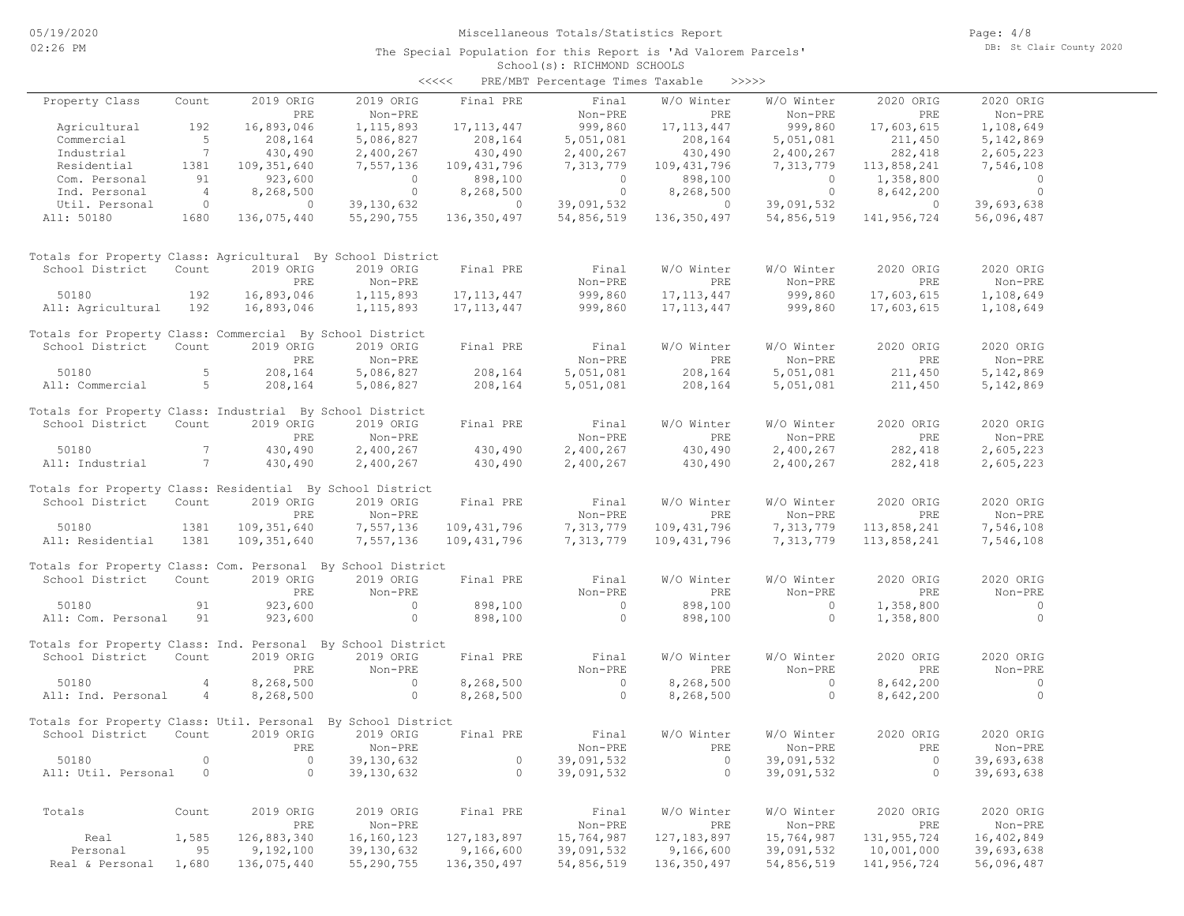|                                                              |                          |                          |                | $\prec$ <<<<             | PRE/MBT Percentage Times Taxable |               | >>>>>          |                |                          |  |
|--------------------------------------------------------------|--------------------------|--------------------------|----------------|--------------------------|----------------------------------|---------------|----------------|----------------|--------------------------|--|
| Property Class                                               | Count                    | 2019 ORIG                | 2019 ORIG      | Final PRE                | Final                            | W/O Winter    | W/O Winter     | 2020 ORIG      | 2020 ORIG                |  |
|                                                              |                          | PRE                      | Non-PRE        |                          | Non-PRE                          | PRE           | Non-PRE        | PRE            | Non-PRE                  |  |
| Agricultural                                                 | 192                      | 16,893,046               | 1, 115, 893    | 17, 113, 447             | 999,860                          | 17, 113, 447  | 999,860        | 17,603,615     | 1,108,649                |  |
| Commercial                                                   | 5                        | 208,164                  | 5,086,827      | 208,164                  | 5,051,081                        | 208,164       | 5,051,081      | 211,450        | 5,142,869                |  |
| Industrial                                                   | 7                        | 430,490                  | 2,400,267      | 430,490                  | 2,400,267                        | 430,490       | 2,400,267      | 282,418        | 2,605,223                |  |
| Residential                                                  | 1381                     | 109, 351, 640            | 7,557,136      | 109,431,796              | 7,313,779                        | 109, 431, 796 | 7,313,779      | 113,858,241    | 7,546,108                |  |
| Com. Personal                                                | 91                       | 923,600                  | $\overline{0}$ | 898,100                  | $\overline{0}$                   | 898,100       | $\overline{0}$ | 1,358,800      | $\overline{0}$           |  |
| Ind. Personal                                                | $\overline{4}$           | 8,268,500                | $\overline{0}$ | 8,268,500                | $\overline{\phantom{0}}$         | 8,268,500     | $\overline{0}$ | 8,642,200      | $\overline{\phantom{0}}$ |  |
| Util. Personal                                               | $\overline{\phantom{0}}$ | $\overline{\phantom{0}}$ | 39,130,632     | $\sim$ 0 $\sim$ 0 $\sim$ | 39,091,532                       | $\circ$       | 39,091,532     | $\overline{0}$ | 39,693,638               |  |
| All: 50180                                                   | 1680                     | 136,075,440              | 55,290,755     | 136,350,497              | 54,856,519                       | 136, 350, 497 | 54,856,519     | 141,956,724    | 56,096,487               |  |
|                                                              |                          |                          |                |                          |                                  |               |                |                |                          |  |
| Totals for Property Class: Agricultural By School District   |                          |                          |                |                          |                                  |               |                |                |                          |  |
| School District                                              | Count                    | 2019 ORIG                | 2019 ORIG      | Final PRE                | Final                            | W/O Winter    | W/O Winter     | 2020 ORIG      | 2020 ORIG                |  |
|                                                              |                          | PRE                      | Non-PRE        |                          | Non-PRE                          | PRE           | Non-PRE        | PRE            | Non-PRE                  |  |
| 50180                                                        | 192                      | 16,893,046               | 1, 115, 893    | 17, 113, 447             | 999,860                          | 17, 113, 447  | 999,860        | 17,603,615     | 1,108,649                |  |
| All: Agricultural                                            | 192                      | 16,893,046               | 1, 115, 893    | 17, 113, 447             | 999,860                          | 17, 113, 447  | 999,860        | 17,603,615     | 1,108,649                |  |
| Totals for Property Class: Commercial By School District     |                          |                          |                |                          |                                  |               |                |                |                          |  |
| School District                                              | Count                    | 2019 ORIG                | 2019 ORIG      | Final PRE                | Final                            | W/O Winter    | W/O Winter     | 2020 ORIG      | 2020 ORIG                |  |
|                                                              |                          | PRE                      | Non-PRE        |                          | Non-PRE                          | PRE           | Non-PRE        | PRE            | Non-PRE                  |  |
| 50180                                                        | - 5                      | 208,164                  | 5,086,827      | 208,164                  | 5,051,081                        | 208,164       | 5,051,081      | 211,450        | 5,142,869                |  |
| All: Commercial                                              | $5^{\circ}$              | 208,164                  | 5,086,827      | 208,164                  | 5,051,081                        | 208,164       | 5,051,081      | 211,450        | 5,142,869                |  |
| Totals for Property Class: Industrial By School District     |                          |                          |                |                          |                                  |               |                |                |                          |  |
| School District                                              | Count                    | 2019 ORIG                | 2019 ORIG      | Final PRE                | Final                            | W/O Winter    | W/O Winter     | 2020 ORIG      | 2020 ORIG                |  |
|                                                              |                          | PRE                      | Non-PRE        |                          | Non-PRE                          | PRE           | Non-PRE        | PRE            | Non-PRE                  |  |
| 50180                                                        | 7                        | 430,490                  | 2,400,267      | 430,490                  | 2,400,267                        | 430,490       | 2,400,267      | 282,418        | 2,605,223                |  |
| All: Industrial                                              | 7                        | 430,490                  | 2,400,267      | 430,490                  | 2,400,267                        | 430,490       | 2,400,267      | 282,418        | 2,605,223                |  |
|                                                              |                          |                          |                |                          |                                  |               |                |                |                          |  |
| Totals for Property Class: Residential By School District    |                          |                          |                |                          |                                  |               |                |                |                          |  |
| School District                                              | Count                    | 2019 ORIG                | 2019 ORIG      | Final PRE                | Final                            | W/O Winter    | W/O Winter     | 2020 ORIG      | 2020 ORIG                |  |
|                                                              |                          | PRE                      | Non-PRE        |                          | Non-PRE                          | PRE           | Non-PRE        | PRE            | Non-PRE                  |  |
| 50180                                                        | 1381                     | 109,351,640              | 7,557,136      | 109,431,796              | 7,313,779                        | 109,431,796   | 7,313,779      | 113,858,241    | 7,546,108                |  |
| All: Residential                                             | 1381                     | 109,351,640              | 7,557,136      | 109,431,796              | 7,313,779                        | 109,431,796   | 7,313,779      | 113,858,241    | 7,546,108                |  |
| Totals for Property Class: Com. Personal By School District  |                          |                          |                |                          |                                  |               |                |                |                          |  |
| School District                                              | Count                    | 2019 ORIG                | 2019 ORIG      | Final PRE                | Final                            | W/O Winter    | W/O Winter     | 2020 ORIG      | 2020 ORIG                |  |
|                                                              |                          | PRE                      | Non-PRE        |                          | Non-PRE                          | PRE           | Non-PRE        | PRE            | Non-PRE                  |  |
| 50180                                                        | 91                       | 923,600                  | $\circ$        | 898,100                  | $\circ$                          | 898,100       | $\circ$        | 1,358,800      | $\circ$                  |  |
| All: Com. Personal                                           | 91                       | 923,600                  | $\circ$        | 898,100                  | $\overline{0}$                   | 898,100       | $\circ$        | 1,358,800      | $\overline{0}$           |  |
|                                                              |                          |                          |                |                          |                                  |               |                |                |                          |  |
| Totals for Property Class: Ind. Personal By School District  |                          |                          |                |                          |                                  |               |                |                |                          |  |
| School District                                              | Count                    | 2019 ORIG                | 2019 ORIG      | Final PRE                | Final                            | W/O Winter    | W/O Winter     | 2020 ORIG      | 2020 ORIG                |  |
|                                                              |                          | PRE                      | Non-PRE        |                          | Non-PRE                          | PRE           | Non-PRE        | PRE            | Non-PRE                  |  |
| 50180                                                        | 4                        | 8,268,500                | $\overline{0}$ | 8,268,500                | $\sim$ 0                         | 8,268,500     | $\circ$        | 8,642,200      | $\overline{0}$           |  |
| All: Ind. Personal                                           | 4                        | 8,268,500                | $\circ$        | 8,268,500                | $\overline{0}$                   | 8,268,500     | $\circ$        | 8,642,200      | $\overline{0}$           |  |
| Totals for Property Class: Util. Personal By School District |                          |                          |                |                          |                                  |               |                |                |                          |  |
| School District                                              | Count                    | 2019 ORIG                | 2019 ORIG      | Final PRE                | Final                            | W/O Winter    | W/O Winter     | 2020 ORIG      | 2020 ORIG                |  |
|                                                              |                          | <b>PRE</b>               | Non-PRE        |                          | Non-PRE                          | PRE           | Non-PRE        | PRE            | Non-PRE                  |  |
| 50180                                                        | $\circ$                  | $\circ$                  | 39,130,632     | 0                        | 39,091,532                       | $\circ$       | 39,091,532     | 0              | 39,693,638               |  |
| All: Util. Personal                                          | $\overline{0}$           | $\circ$                  | 39,130,632     | $\circ$                  | 39,091,532                       | $\circ$       | 39,091,532     | $\overline{0}$ | 39,693,638               |  |
|                                                              |                          |                          |                |                          |                                  |               |                |                |                          |  |
|                                                              |                          |                          |                |                          |                                  |               |                |                |                          |  |
| Totals                                                       | Count                    | 2019 ORIG                | 2019 ORIG      | Final PRE                | Final                            | W/O Winter    | W/O Winter     | 2020 ORIG      | 2020 ORIG                |  |
|                                                              |                          | PRE                      | Non-PRE        |                          | $Non-PRE$                        | PRE           | Non-PRE        | PRE            | Non-PRE                  |  |
| Real                                                         | 1,585                    | 126,883,340              | 16,160,123     | 127, 183, 897            | 15,764,987                       | 127, 183, 897 | 15,764,987     | 131, 955, 724  | 16,402,849               |  |
| Personal                                                     | 95                       | 9,192,100                | 39,130,632     | 9,166,600                | 39,091,532                       | 9,166,600     | 39,091,532     | 10,001,000     | 39,693,638               |  |
| Real & Personal                                              | 1,680                    | 136,075,440              | 55,290,755     | 136,350,497              | 54,856,519                       | 136,350,497   | 54,856,519     | 141,956,724    | 56,096,487               |  |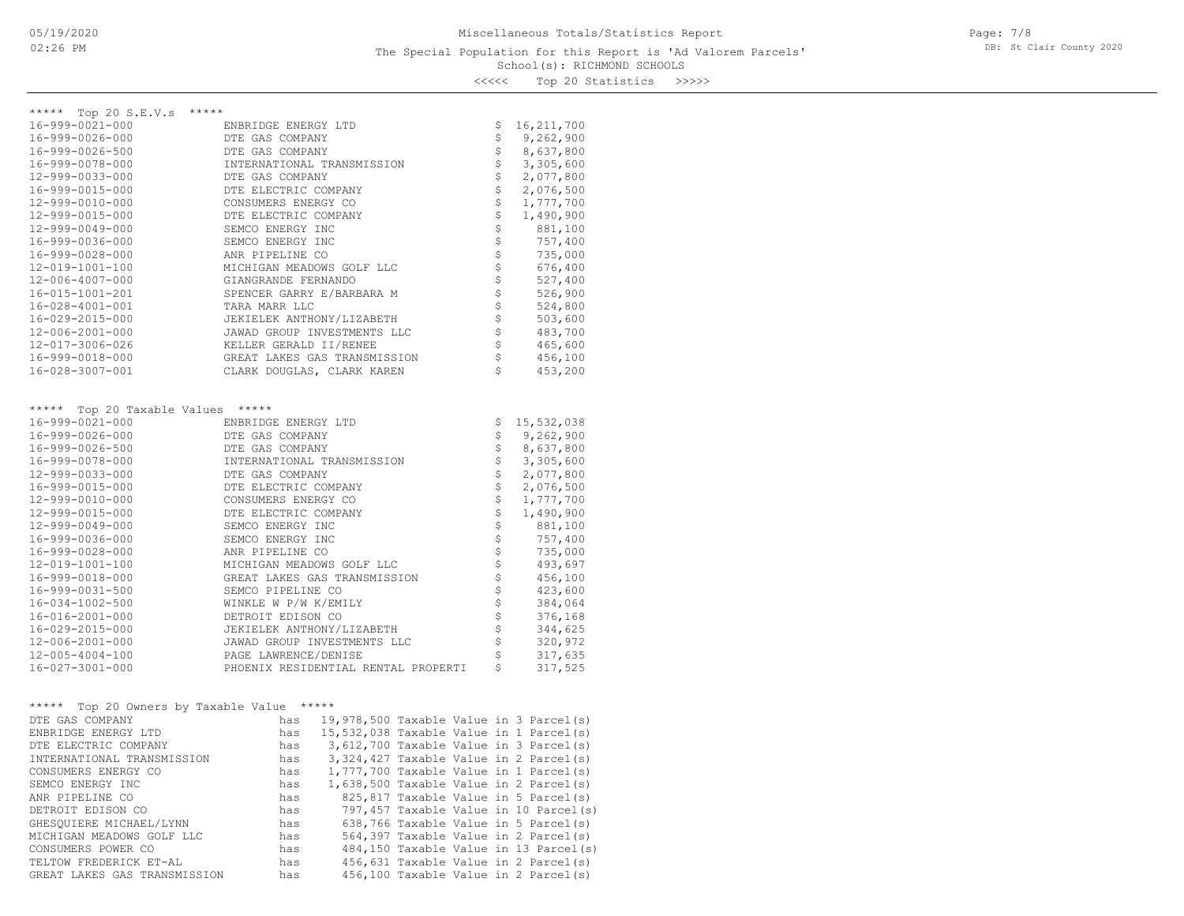Page: 7/8 DB: St Clair County 2020

<<<<< Top 20 Statistics >>>>>

| ***** Top 20 S.E.V.s<br>*****              |                                                 |                       |              |
|--------------------------------------------|-------------------------------------------------|-----------------------|--------------|
| 16-999-0021-000                            | ENBRIDGE ENERGY LTD                             | \$                    | 16, 211, 700 |
| 16-999-0026-000                            | DTE GAS COMPANY                                 | \$                    | 9,262,900    |
| 16-999-0026-500                            | DTE GAS COMPANY                                 | \$                    | 8,637,800    |
| 16-999-0078-000                            | INTERNATIONAL TRANSMISSION                      | \$                    | 3,305,600    |
| 12-999-0033-000                            | DTE GAS COMPANY                                 | \$                    | 2,077,800    |
| 16-999-0015-000                            | DTE ELECTRIC COMPANY                            |                       | 2,076,500    |
| 12-999-0010-000                            | CONSUMERS ENERGY CO                             |                       | 1,777,700    |
| 12-999-0015-000                            | DTE ELECTRIC COMPANY                            |                       | 1,490,900    |
| 12-999-0049-000                            | SEMCO ENERGY INC                                |                       | 881,100      |
| 16-999-0036-000                            | SEMCO ENERGY INC                                |                       | 757,400      |
| 16-999-0028-000                            | ANR PIPELINE CO                                 |                       | 735,000      |
| 12-019-1001-100                            | MICHIGAN MEADOWS GOLF LLC                       |                       | 676,400      |
| 12-006-4007-000                            | GIANGRANDE FERNANDO                             |                       | 527,400      |
| 16-015-1001-201                            | SPENCER GARRY E/BARBARA M                       |                       | 526,900      |
| $16 - 028 - 4001 - 001$                    | TARA MARR LLC                                   |                       | 524,800      |
| 16-029-2015-000                            | JEKIELEK ANTHONY/LIZABETH                       |                       | 503,600      |
| 12-006-2001-000                            | JAWAD GROUP INVESTMENTS LLC                     |                       | 483,700      |
| 12-017-3006-026                            | KELLER GERALD II/RENEE                          |                       | 465,600      |
| 16-999-0018-000                            | GREAT LAKES GAS TRANSMISSION                    | \$                    | 456,100      |
| 16-028-3007-001                            | CLARK DOUGLAS, CLARK KAREN                      | \$                    | 453,200      |
|                                            |                                                 |                       |              |
|                                            |                                                 |                       |              |
| ***** Top 20 Taxable Values *****          |                                                 |                       |              |
| 16-999-0021-000                            | ENBRIDGE ENERGY LTD                             | \$                    | 15,532,038   |
| 16-999-0026-000                            | DTE GAS COMPANY                                 | \$                    | 9,262,900    |
| 16-999-0026-500                            | DTE GAS COMPANY                                 | \$                    | 8,637,800    |
| 16-999-0078-000                            | INTERNATIONAL TRANSMISSION                      | \$                    | 3,305,600    |
| 12-999-0033-000                            | DTE GAS COMPANY                                 | \$                    | 2,077,800    |
| 16-999-0015-000                            | DTE ELECTRIC COMPANY                            |                       | 2,076,500    |
| 12-999-0010-000                            | CONSUMERS ENERGY CO                             | w w w w w w w w w w w | 1,777,700    |
| 12-999-0015-000                            | DTE ELECTRIC COMPANY                            |                       | 1,490,900    |
| 12-999-0049-000                            | SEMCO ENERGY INC                                |                       | 881,100      |
| 16-999-0036-000                            | SEMCO ENERGY INC                                |                       | 757,400      |
| 16-999-0028-000                            | ANR PIPELINE CO                                 |                       | 735,000      |
| 12-019-1001-100                            | MICHIGAN MEADOWS GOLF LLC                       |                       | 493,697      |
| 16-999-0018-000                            | GREAT LAKES GAS TRANSMISSION                    |                       | 456,100      |
| 16-999-0031-500                            | SEMCO PIPELINE CO                               |                       | 423,600      |
| 16-034-1002-500                            | WINKLE W P/W K/EMILY                            |                       | 384,064      |
| 16-016-2001-000                            | DETROIT EDISON CO                               |                       | 376,168      |
| 16-029-2015-000                            | JEKIELEK ANTHONY/LIZABETH                       |                       | 344,625      |
| 12-006-2001-000                            | JAWAD GROUP INVESTMENTS LLC                     | \$                    | 320,972      |
| 12-005-4004-100                            | PAGE LAWRENCE/DENISE                            | \$                    | 317,635      |
| 16-027-3001-000                            | PHOENIX RESIDENTIAL RENTAL PROPERTI             | \$                    | 317,525      |
|                                            |                                                 |                       |              |
|                                            |                                                 |                       |              |
| ***** Top 20 Owners by Taxable Value ***** |                                                 |                       |              |
| DTE GAS COMPANY                            | has 19,978,500 Taxable Value in 3 Parcel(s)     |                       |              |
| ENBRIDGE ENERGY LTD                        | has 15,532,038 Taxable Value in 1 Parcel(s)     |                       |              |
| DTE ELECTRIC COMPANY                       | has 3,612,700 Taxable Value in 3 Parcel(s)      |                       |              |
| INTERNATIONAL TRANSMISSION                 | 3, 324, 427 Taxable Value in 2 Parcel(s)<br>has |                       |              |
| CONSUMERS ENERGY CO                        | 1,777,700 Taxable Value in 1 Parcel(s)<br>has   |                       |              |
| SEMCO ENERGY INC                           | 1,638,500 Taxable Value in 2 Parcel(s)<br>has   |                       |              |
| ANR PIPELINE CO                            | 825,817 Taxable Value in 5 Parcel(s)<br>has     |                       |              |
| DETROIT EDISON CO                          | 797,457 Taxable Value in 10 Parcel(s)<br>has    |                       |              |
| GHESQUIERE MICHAEL/LYNN                    | 638,766 Taxable Value in 5 Parcel(s)<br>has     |                       |              |
| MICHIGAN MEADOWS GOLF LLC                  | 564,397 Taxable Value in 2 Parcel(s)<br>has     |                       |              |
| CONSUMERS POWER CO                         | 484,150 Taxable Value in 13 Parcel(s)<br>has    |                       |              |
| TELTOW FREDERICK ET-AL                     | 456,631 Taxable Value in 2 Parcel(s)<br>has     |                       |              |
| GREAT LAKES GAS TRANSMISSION               | 456,100 Taxable Value in 2 Parcel(s)<br>has     |                       |              |
|                                            |                                                 |                       |              |